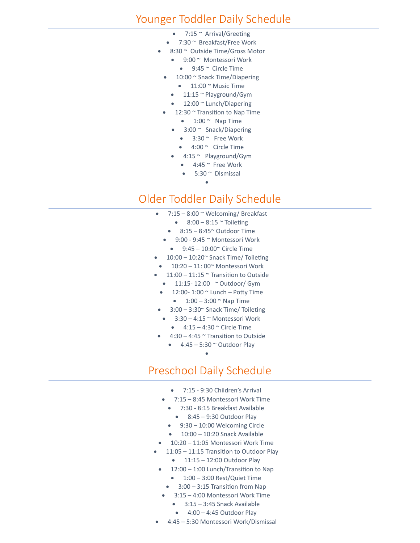#### Younger Toddler Daily Schedule

- $7:15$   $\sim$  Arrival/Greeting
- 7:30 ~ Breakfast/Free Work
- 8:30 ~ Outside Time/Gross Motor
	- 9:00 ~ Montessori Work
		- $\bullet$  9:45  $\sim$  Circle Time
	- 10:00 ~ Snack Time/Diapering
	- $\bullet$  11:00  $\sim$  Music Time
	- 11:15 ~ Playground/Gym
	- 12:00 ~ Lunch/Diapering
	- 12:30  $\sim$  Transition to Nap Time
	- $\bullet$  1:00  $\sim$  Nap Time
	- 3:00 ~ Snack/Diapering
		- $\bullet$  3:30  $\sim$  Free Work
	- 4:00 ~ Circle Time
	- 4:15 ~ Playground/Gym
	- $\bullet$  4:45  $\sim$  Free Work • 5:30 ~ Dismissal
		- •

# Older Toddler Daily Schedule

- $7:15 8:00 \approx$  Welcoming/Breakfast
	- $8:00 8:15$   $\sim$  Toileting
	- $\bullet$  8:15 8:45 $\degree$  Outdoor Time
	- 9:00 9:45 ~ Montessori Work  $\bullet$  9:45 – 10:00 $\degree$  Circle Time
- 10:00 10:20~ Snack Time/ Toileting
- $\bullet$  10:20 11:00 $\degree$  Montessori Work
- 11:00 11:15  $\sim$  Transition to Outside
	- $\bullet$  11:15-12:00  $\sim$  Outdoor/ Gym
	- $\bullet$  12:00-1:00  $\sim$  Lunch Potty Time •  $1:00 - 3:00$   $\sim$  Nap Time
- 3:00 3:30~ Snack Time/ Toileting
- 3:30 4:15 ~ Montessori Work
	- $\bullet$  4:15 4:30  $\sim$  Circle Time
- $4:30 4:45$   $\sim$  Transition to Outside
	- $\bullet$  4:45 5:30  $\sim$  Outdoor Play
		- •

#### Preschool Daily Schedule

- 7:15 9:30 Children's Arrival
- 7:15 8:45 Montessori Work Time
	- 7:30 8:15 Breakfast Available
		- $\bullet$  8:45 9:30 Outdoor Play
	- 9:30 10:00 Welcoming Circle
	- 10:00 10:20 Snack Available
- 10:20 11:05 Montessori Work Time
- 11:05 11:15 Transition to Outdoor Play • 11:15 – 12:00 Outdoor Play
- 12:00 1:00 Lunch/Transition to Nap
	- $\bullet$  1:00 3:00 Rest/Quiet Time
	- 3:00 3:15 Transition from Nap
	- 3:15 4:00 Montessori Work Time
		- 3:15 3:45 Snack Available
		- $\bullet$  4:00 4:45 Outdoor Play
- 4:45 5:30 Montessori Work/Dismissal